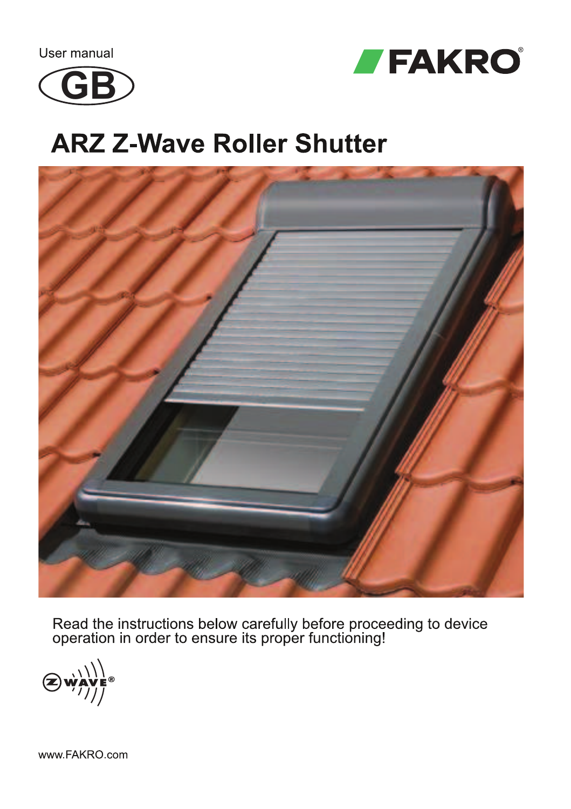User manual





## **ARZ Z-Wave Roller Shutter**



Read the instructions below carefully before proceeding to device<br>operation in order to ensure its proper functioning!

www.FAKRO.com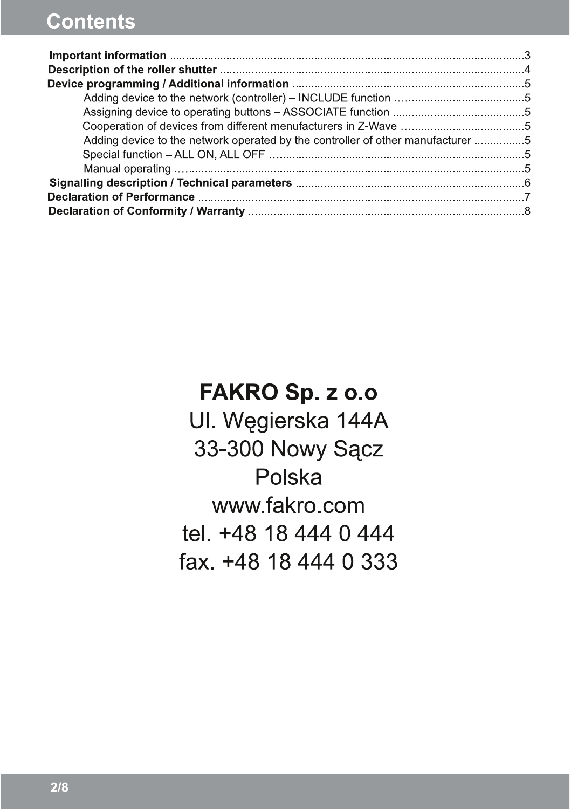## **Contents**

| Adding device to the network operated by the controller of other manufacturer 5 |  |
|---------------------------------------------------------------------------------|--|
|                                                                                 |  |
|                                                                                 |  |
|                                                                                 |  |
|                                                                                 |  |
|                                                                                 |  |

FAKRO Sp. z o.o UI. Węgierska 144A 33-300 Nowy Sącz Polska www.fakro.com tel. +48 18 444 0 444 fax. +48 18 444 0 333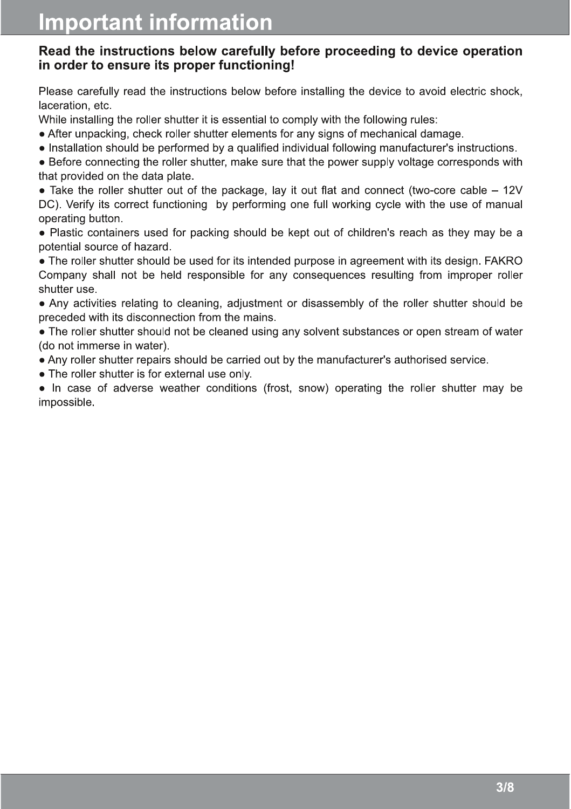#### Read the instructions below carefully before proceeding to device operation in order to ensure its proper functioning!

Please carefully read the instructions below before installing the device to avoid electric shock, laceration, etc.

While installing the roller shutter it is essential to comply with the following rules:

- After unpacking, check roller shutter elements for any signs of mechanical damage.
- Installation should be performed by a qualified individual following manufacturer's instructions.

• Before connecting the roller shutter, make sure that the power supply voltage corresponds with that provided on the data plate.

• Take the roller shutter out of the package, lay it out flat and connect (two-core cable  $-12V$ DC). Verify its correct functioning by performing one full working cycle with the use of manual operating button.

● Plastic containers used for packing should be kept out of children's reach as they may be a potential source of hazard.

• The roller shutter should be used for its intended purpose in agreement with its design. FAKRO Company shall not be held responsible for any consequences resulting from improper roller shutter use.

● Any activities relating to cleaning, adjustment or disassembly of the roller shutter should be preceded with its disconnection from the mains.

• The roller shutter should not be cleaned using any solvent substances or open stream of water (do not immerse in water).

● Any roller shutter repairs should be carried out by the manufacturer's authorised service.

• The roller shutter is for external use only.

● In case of adverse weather conditions (frost, snow) operating the roller shutter may be impossible.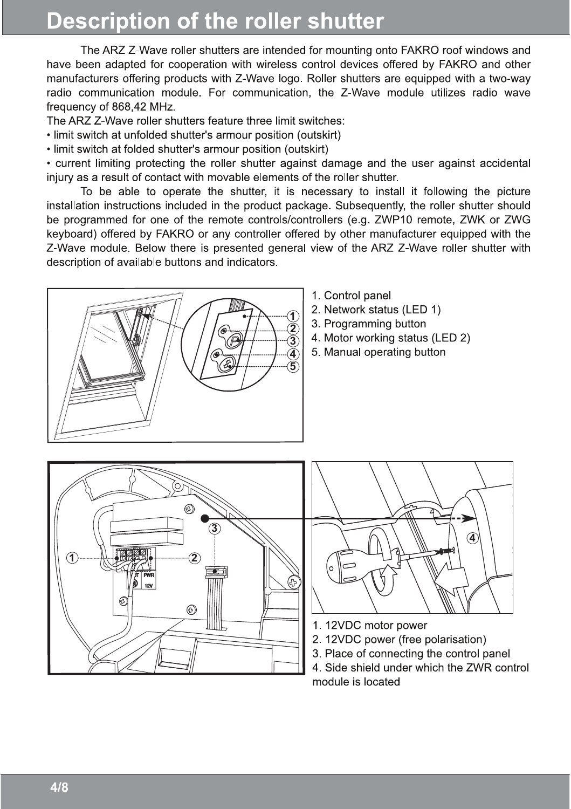## **Description of the roller shutter**

The ARZ Z-Wave roller shutters are intended for mounting onto FAKRO roof windows and have been adapted for cooperation with wireless control devices offered by FAKRO and other manufacturers offering products with Z-Wave logo. Roller shutters are equipped with a two-way radio communication module. For communication, the Z-Wave module utilizes radio wave frequency of 868.42 MHz.

The ARZ Z-Wave roller shutters feature three limit switches:

- . limit switch at unfolded shutter's armour position (outskirt)
- limit switch at folded shutter's armour position (outskirt)

• current limiting protecting the roller shutter against damage and the user against accidental injury as a result of contact with movable elements of the roller shutter.

To be able to operate the shutter, it is necessary to install it following the picture installation instructions included in the product package. Subsequently, the roller shutter should be programmed for one of the remote controls/controllers (e.g. ZWP10 remote, ZWK or ZWG keyboard) offered by FAKRO or any controller offered by other manufacturer equipped with the Z-Wave module. Below there is presented general view of the ARZ Z-Wave roller shutter with description of available buttons and indicators.



- 1. Control panel
- 2. Network status (LED 1)
- 3. Programming button
- 4. Motor working status (LED 2)
- 5. Manual operating button





- 1. 12VDC motor power
- 2. 12VDC power (free polarisation)
- 3. Place of connecting the control panel
- 4. Side shield under which the ZWR control module is located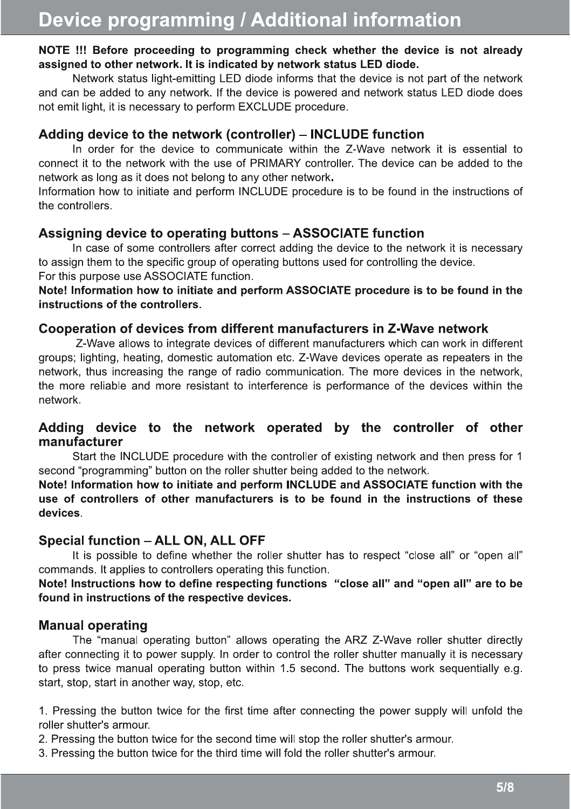#### NOTE !!! Before proceeding to programming check whether the device is not already assigned to other network. It is indicated by network status LED diode.

Network status light-emitting LED diode informs that the device is not part of the network and can be added to any network. If the device is powered and network status LED diode does not emit light, it is necessary to perform EXCLUDE procedure.

#### Adding device to the network (controller) - INCLUDE function

In order for the device to communicate within the Z-Wave network it is essential to connect it to the network with the use of PRIMARY controller. The device can be added to the network as long as it does not belong to any other network.

Information how to initiate and perform INCLUDE procedure is to be found in the instructions of the controllers.

#### Assigning device to operating buttons - ASSOCIATE function

In case of some controllers after correct adding the device to the network it is necessary to assign them to the specific group of operating buttons used for controlling the device. For this purpose use ASSOCIATE function.

Note! Information how to initiate and perform ASSOCIATE procedure is to be found in the instructions of the controllers.

#### Cooperation of devices from different manufacturers in Z-Wave network

Z-Wave allows to integrate devices of different manufacturers which can work in different groups; lighting, heating, domestic automation etc. Z-Wave devices operate as repeaters in the network, thus increasing the range of radio communication. The more devices in the network, the more reliable and more resistant to interference is performance of the devices within the network

#### Adding device to the network operated by the controller of other manufacturer

Start the INCLUDE procedure with the controller of existing network and then press for 1 second "programming" button on the roller shutter being added to the network.

Note! Information how to initiate and perform INCLUDE and ASSOCIATE function with the use of controllers of other manufacturers is to be found in the instructions of these devices

### Special function - ALL ON. ALL OFF

It is possible to define whether the roller shutter has to respect "close all" or "open all" commands. It applies to controllers operating this function.

Note! Instructions how to define respecting functions "close all" and "open all" are to be found in instructions of the respective devices.

### **Manual operating**

The "manual operating button" allows operating the ARZ Z-Wave roller shutter directly after connecting it to power supply. In order to control the roller shutter manually it is necessary to press twice manual operating button within 1.5 second. The buttons work sequentially e.g. start, stop, start in another way, stop, etc.

1. Pressing the button twice for the first time after connecting the power supply will unfold the roller shutter's armour.

2. Pressing the button twice for the second time will stop the roller shutter's armour.

3. Pressing the button twice for the third time will fold the roller shutter's armour.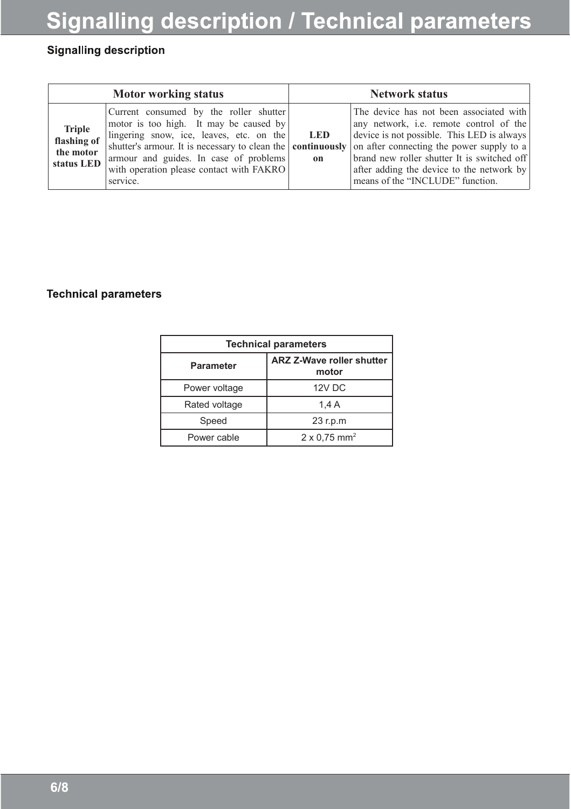# Signalling description / Technical parameters

### **Signalling description**

| <b>Motor working status</b>                             |                                                                                                                                                                                                                                                                                                                                                | <b>Network status</b> |                                                                                                                                                                                                                                                                  |
|---------------------------------------------------------|------------------------------------------------------------------------------------------------------------------------------------------------------------------------------------------------------------------------------------------------------------------------------------------------------------------------------------------------|-----------------------|------------------------------------------------------------------------------------------------------------------------------------------------------------------------------------------------------------------------------------------------------------------|
| <b>Triple</b><br>flashing of<br>the motor<br>status LED | Current consumed by the roller shutter<br>motor is too high. It may be caused by<br>lingering snow, ice, leaves, etc. on the<br>shutter's armour. It is necessary to clean the <b>continuously</b> on after connecting the power supply to a<br>armour and guides. In case of problems<br>with operation please contact with FAKRO<br>service. | <b>LED</b><br>on      | The device has not been associated with<br>any network, i.e. remote control of the<br>device is not possible. This LED is always<br>brand new roller shutter It is switched off<br>after adding the device to the network by<br>means of the "INCLUDE" function. |

#### **Technical parameters**

| <b>Technical parameters</b> |                                    |  |  |  |
|-----------------------------|------------------------------------|--|--|--|
| <b>Parameter</b>            | ARZ Z-Wave roller shutter<br>motor |  |  |  |
| Power voltage               | 12V DC                             |  |  |  |
| Rated voltage               | 1.4A                               |  |  |  |
| Speed                       | 23 r.p.m                           |  |  |  |
| Power cable                 | $2 \times 0.75$ mm <sup>2</sup>    |  |  |  |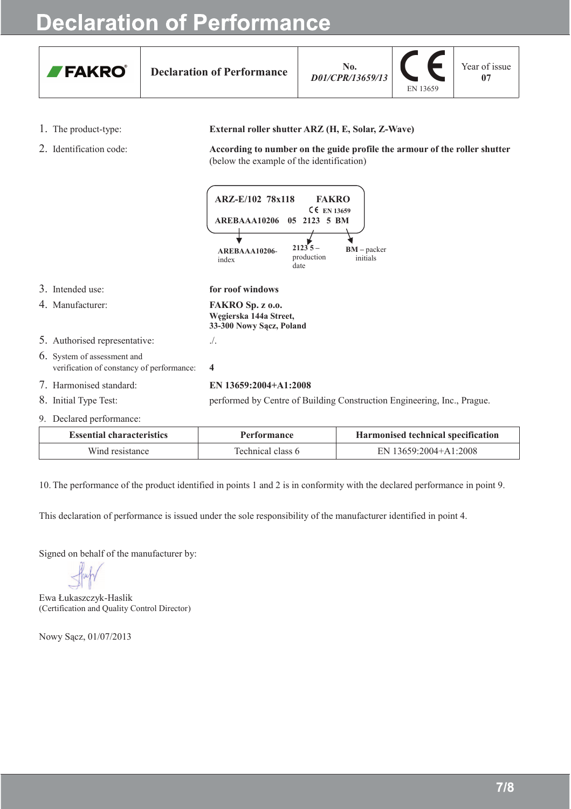## **Declaration of Performance**



**Declaration of Performance** 

 $\mathbf{N}$  $\mathbf{A}$ D01/CPR/13659/13



Year of issue  $07$ 

- 1. The product-type:
- 2. Identification code:

#### External roller shutter ARZ (H, E, Solar, Z-Wave)

According to number on the guide profile the armour of the roller shutter (below the example of the identification)



| <b>Essential characteristics</b> | Performance       | Harmonised technical specification |
|----------------------------------|-------------------|------------------------------------|
| Wind resistance                  | Technical class 6 | EN 13659:2004+A1:2008              |

10. The performance of the product identified in points 1 and 2 is in conformity with the declared performance in point 9.

This declaration of performance is issued under the sole responsibility of the manufacturer identified in point 4.

Signed on behalf of the manufacturer by:

Ewa Łukaszczyk-Haslik (Certification and Quality Control Director)

Nowy Sacz, 01/07/2013